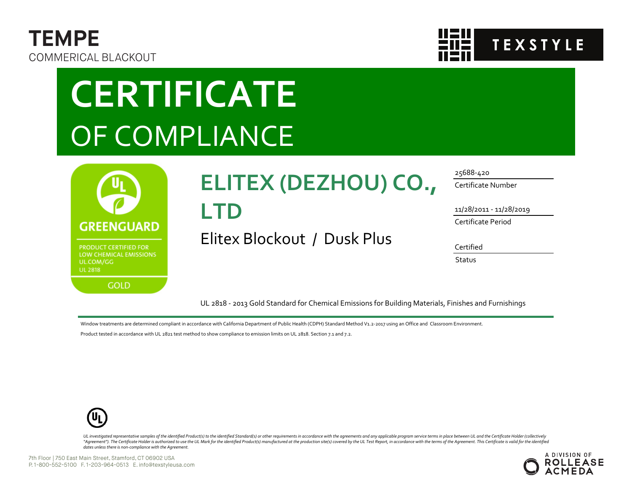



# **CERTIFICATE** OF COMPLIANCE



## **ELITEX (DEZHOU) CO.,**

### **LTD**

Elitex Blockout / Dusk Plus

#### 25688-420

Certificate Number

11/28/2011 - 11/28/2019

Certificate Period

Certified

**Status** 

UL 2818 - 2013 Gold Standard for Chemical Emissions for Building Materials, Finishes and Furnishings

Window treatments are determined compliant in accordance with California Department of Public Health (CDPH) Standard Method V1.2-2017 using an Office and Classroom Environment.

Product tested in accordance with UL 2821 test method to show compliance to emission limits on UL 2818. Section 7.1 and 7.2.



UL investigated representative samples of the identified Product(s) to the identified Standard(s) or other requirements in accordance with the agreements and any applicable program service terms in place between UL and the "Agreement"). The Certificate Holder is authorized to use the UL Mark for the identified Product(s) manufactured at the production site(s) covered by the UL Test Report, in accordance with the terms of the Agreement. This *dates unless there is non-compliance with the Agreement.*